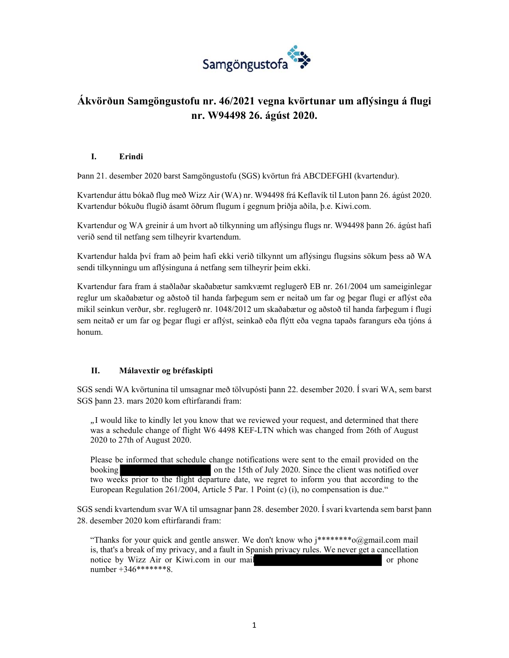

# **Ákvörðun Samgöngustofu nr. 46/2021 vegna kvörtunar um aflýsingu á flugi nr. W94498 26. ágúst 2020.**

### **I. Erindi**

Þann 21. desember 2020 barst Samgöngustofu (SGS) kvörtun frá ABCDEFGHI (kvartendur).

Kvartendur áttu bókað flug með Wizz Air (WA) nr. W94498 frá Keflavík til Luton þann 26. ágúst 2020. Kvartendur bókuðu flugið ásamt öðrum flugum í gegnum þriðja aðila, þ.e. Kiwi.com.

Kvartendur og WA greinir á um hvort að tilkynning um aflýsingu flugs nr. W94498 þann 26. ágúst hafi verið send til netfang sem tilheyrir kvartendum.

Kvartendur halda því fram að þeim hafi ekki verið tilkynnt um aflýsingu flugsins sökum þess að WA sendi tilkynningu um aflýsinguna á netfang sem tilheyrir þeim ekki.

Kvartendur fara fram á staðlaðar skaðabætur samkvæmt reglugerð EB nr. 261/2004 um sameiginlegar reglur um skaðabætur og aðstoð til handa farþegum sem er neitað um far og þegar flugi er aflýst eða mikil seinkun verður, sbr. reglugerð nr. 1048/2012 um skaðabætur og aðstoð til handa farþegum í flugi sem neitað er um far og þegar flugi er aflýst, seinkað eða flýtt eða vegna tapaðs farangurs eða tjóns á honum.

### **II. Málavextir og bréfaskipti**

SGS sendi WA kvörtunina til umsagnar með tölvupósti þann 22. desember 2020. Í svari WA, sem barst SGS þann 23. mars 2020 kom eftirfarandi fram:

*"*I would like to kindly let you know that we reviewed your request, and determined that there was a schedule change of flight W6 4498 KEF-LTN which was changed from 26th of August 2020 to 27th of August 2020.

Please be informed that schedule change notifications were sent to the email provided on the booking on the 15th of July 2020. Since the client was notified over two weeks prior to the flight departure date, we regret to inform you that according to the European Regulation 261/2004, Article 5 Par. 1 Point (c) (i), no compensation is due."

SGS sendi kvartendum svar WA til umsagnar þann 28. desember 2020. Í svari kvartenda sem barst þann 28. desember 2020 kom eftirfarandi fram:

"Thanks for your quick and gentle answer. We don't know who  $i^{*****}$ "  $\omega$ @gmail.com mail is, that's a break of my privacy, and a fault in Spanish privacy rules. We never get a cancellation notice by Wizz Air or Kiwi.com in our mail or phone number +346\*\*\*\*\*\*\*8.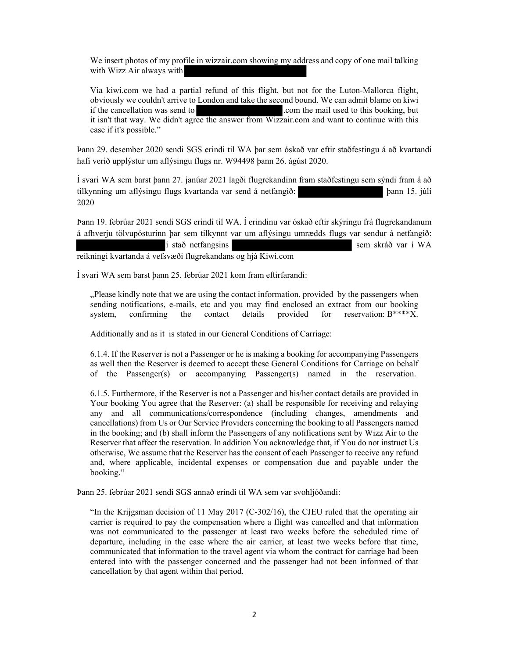We insert photos of my profile in wizzair.com showing my address and copy of one mail talking with Wizz Air always with

Via kiwi.com we had a partial refund of this flight, but not for the Luton-Mallorca flight, obviously we couldn't arrive to London and take the second bound. We can admit blame on kiwi if the cancellation was send to .com the mail used to this booking, but it isn't that way. We didn't agree the answer from Wizzair.com and want to continue with this case if it's possible."

Þann 29. desember 2020 sendi SGS erindi til WA þar sem óskað var eftir staðfestingu á að kvartandi hafi verið upplýstur um aflýsingu flugs nr. W94498 þann 26. ágúst 2020.

Í svari WA sem barst þann 27. janúar 2021 lagði flugrekandinn fram staðfestingu sem sýndi fram á að tilkynning um aflýsingu flugs kvartanda var send á netfangið: þann 15. júlí 2020

Þann 19. febrúar 2021 sendi SGS erindi til WA. Í erindinu var óskað eftir skýringu frá flugrekandanum á afhverju tölvupósturinn þar sem tilkynnt var um aflýsingu umrædds flugs var sendur á netfangið: í stað netfangsins sem skráð var í WA reikningi kvartanda á vefsvæði flugrekandans og hjá Kiwi.com

Í svari WA sem barst þann 25. febrúar 2021 kom fram eftirfarandi:

"Please kindly note that we are using the contact information, provided by the passengers when sending notifications, e-mails, etc and you may find enclosed an extract from our booking system, confirming the contact details provided for reservation: B\*\*\*\*X.

Additionally and as it is stated in our General Conditions of Carriage:

6.1.4. If the Reserver is not a Passenger or he is making a booking for accompanying Passengers as well then the Reserver is deemed to accept these General Conditions for Carriage on behalf of the Passenger(s) or accompanying Passenger(s) named in the reservation.

6.1.5. Furthermore, if the Reserver is not a Passenger and his/her contact details are provided in Your booking You agree that the Reserver: (a) shall be responsible for receiving and relaying any and all communications/correspondence (including changes, amendments and cancellations) from Us or Our Service Providers concerning the booking to all Passengers named in the booking; and (b) shall inform the Passengers of any notifications sent by Wizz Air to the Reserver that affect the reservation. In addition You acknowledge that, if You do not instruct Us otherwise, We assume that the Reserver has the consent of each Passenger to receive any refund and, where applicable, incidental expenses or compensation due and payable under the booking."

Þann 25. febrúar 2021 sendi SGS annað erindi til WA sem var svohljóðandi:

"In the Krijgsman decision of 11 May 2017 (C-302/16), the CJEU ruled that the operating air carrier is required to pay the compensation where a flight was cancelled and that information was not communicated to the passenger at least two weeks before the scheduled time of departure, including in the case where the air carrier, at least two weeks before that time, communicated that information to the travel agent via whom the contract for carriage had been entered into with the passenger concerned and the passenger had not been informed of that cancellation by that agent within that period.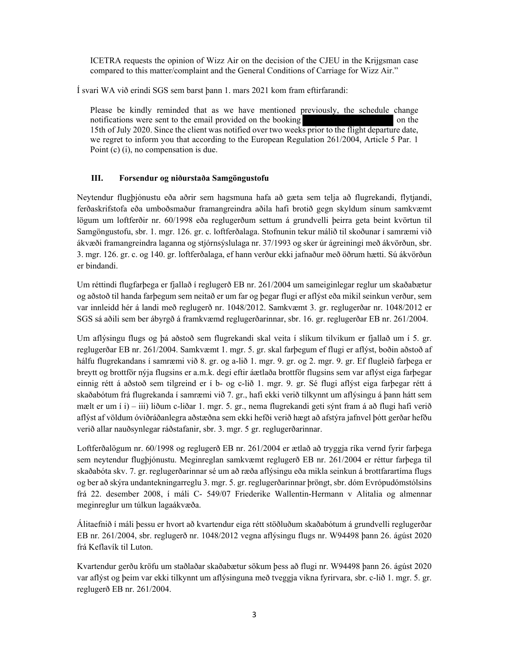ICETRA requests the opinion of Wizz Air on the decision of the CJEU in the Krijgsman case compared to this matter/complaint and the General Conditions of Carriage for Wizz Air."

Í svari WA við erindi SGS sem barst þann 1. mars 2021 kom fram eftirfarandi:

Please be kindly reminded that as we have mentioned previously, the schedule change notifications were sent to the email provided on the booking on the on the solution on the solution of the email provided on the booking 15th of July 2020. Since the client was notified over two weeks prior to the flight departure date, we regret to inform you that according to the European Regulation 261/2004, Article 5 Par. 1 Point (c) (i), no compensation is due.

#### **III. Forsendur og niðurstaða Samgöngustofu**

Neytendur flugþjónustu eða aðrir sem hagsmuna hafa að gæta sem telja að flugrekandi, flytjandi, ferðaskrifstofa eða umboðsmaður framangreindra aðila hafi brotið gegn skyldum sínum samkvæmt lögum um loftferðir nr. 60/1998 eða reglugerðum settum á grundvelli þeirra geta beint kvörtun til Samgöngustofu, sbr. 1. mgr. 126. gr. c. loftferðalaga. Stofnunin tekur málið til skoðunar í samræmi við ákvæði framangreindra laganna og stjórnsýslulaga nr. 37/1993 og sker úr ágreiningi með ákvörðun, sbr. 3. mgr. 126. gr. c. og 140. gr. loftferðalaga, ef hann verður ekki jafnaður með öðrum hætti. Sú ákvörðun er bindandi.

Um réttindi flugfarþega er fjallað í reglugerð EB nr. 261/2004 um sameiginlegar reglur um skaðabætur og aðstoð til handa farþegum sem neitað er um far og þegar flugi er aflýst eða mikil seinkun verður, sem var innleidd hér á landi með reglugerð nr. 1048/2012. Samkvæmt 3. gr. reglugerðar nr. 1048/2012 er SGS sá aðili sem ber ábyrgð á framkvæmd reglugerðarinnar, sbr. 16. gr. reglugerðar EB nr. 261/2004.

Um aflýsingu flugs og þá aðstoð sem flugrekandi skal veita í slíkum tilvikum er fjallað um í 5. gr. reglugerðar EB nr. 261/2004. Samkvæmt 1. mgr. 5. gr. skal farþegum ef flugi er aflýst, boðin aðstoð af hálfu flugrekandans í samræmi við 8. gr. og a‐lið 1. mgr. 9. gr. og 2. mgr. 9. gr. Ef flugleið farþega er breytt og brottför nýja flugsins er a.m.k. degi eftir áætlaða brottför flugsins sem var aflýst eiga farþegar einnig rétt á aðstoð sem tilgreind er í b‐ og c‐lið 1. mgr. 9. gr. Sé flugi aflýst eiga farþegar rétt á skaðabótum frá flugrekanda í samræmi við 7. gr., hafi ekki verið tilkynnt um aflýsingu á þann hátt sem mælt er um í i) – iii) liðum c‐liðar 1. mgr. 5. gr., nema flugrekandi geti sýnt fram á að flugi hafi verið aflýst af völdum óviðráðanlegra aðstæðna sem ekki hefði verið hægt að afstýra jafnvel þótt gerðar hefðu verið allar nauðsynlegar ráðstafanir, sbr. 3. mgr. 5 gr. reglugerðarinnar.

Loftferðalögum nr. 60/1998 og reglugerð EB nr. 261/2004 er ætlað að tryggja ríka vernd fyrir farþega sem neytendur flugþjónustu. Meginreglan samkvæmt reglugerð EB nr. 261/2004 er réttur farþega til skaðabóta skv. 7. gr. reglugerðarinnar sé um að ræða aflýsingu eða mikla seinkun á brottfarartíma flugs og ber að skýra undantekningarreglu 3. mgr. 5. gr. reglugerðarinnar þröngt, sbr. dóm Evrópudómstólsins frá 22. desember 2008, í máli C‐ 549/07 Friederike Wallentin‐Hermann v Alitalia og almennar meginreglur um túlkun lagaákvæða.

Álitaefnið í máli þessu er hvort að kvartendur eiga rétt stöðluðum skaðabótum á grundvelli reglugerðar EB nr. 261/2004, sbr. reglugerð nr. 1048/2012 vegna aflýsingu flugs nr. W94498 þann 26. ágúst 2020 frá Keflavík til Luton.

Kvartendur gerðu kröfu um staðlaðar skaðabætur sökum þess að flugi nr. W94498 þann 26. ágúst 2020 var aflýst og þeim var ekki tilkynnt um aflýsinguna með tveggja vikna fyrirvara, sbr. c-lið 1. mgr. 5. gr. reglugerð EB nr. 261/2004.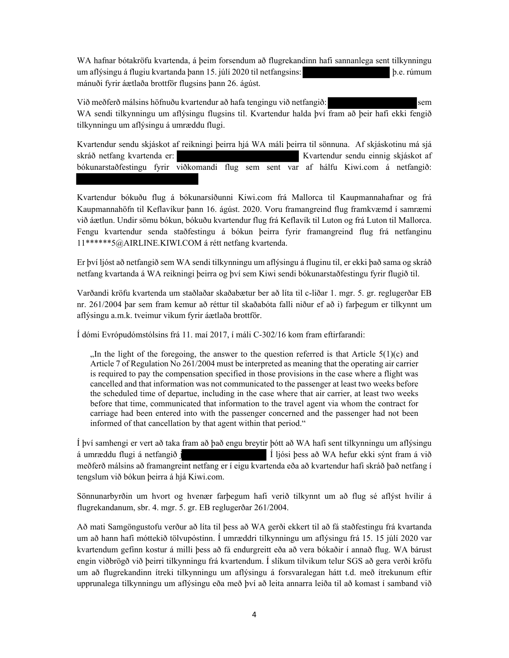WA hafnar bótakröfu kvartenda, á þeim forsendum að flugrekandinn hafi sannanlega sent tilkynningu um aflýsingu á flugiu kvartanda þann 15. júlí 2020 til netfangsins: þ.e. rúmum mánuði fyrir áætlaða brottför flugsins þann 26. ágúst.

Við meðferð málsins höfnuðu kvartendur að hafa tengingu við netfangið: sem WA sendi tilkynningu um aflýsingu flugsins til. Kvartendur halda því fram að þeir hafi ekki fengið tilkynningu um aflýsingu á umræddu flugi.

Kvartendur sendu skjáskot af reikningi þeirra hjá WA máli þeirra til sönnuna. Af skjáskotinu má sjá skráð netfang kvartenda er: vartendur sendu einnig skjáskot af bókunarstaðfestingu fyrir viðkomandi flug sem sent var af hálfu Kiwi.com á netfangið:

Kvartendur bókuðu flug á bókunarsíðunni Kiwi.com frá Mallorca til Kaupmannahafnar og frá Kaupmannahöfn til Keflavíkur þann 16. ágúst. 2020. Voru framangreind flug framkvæmd í samræmi við áætlun. Undir sömu bókun, bókuðu kvartendur flug frá Keflavík til Luton og frá Luton til Mallorca. Fengu kvartendur senda staðfestingu á bókun þeirra fyrir framangreind flug frá netfanginu 11\*\*\*\*\*\*5@AIRLINE.KIWI.COM á rétt netfang kvartenda.

Er því ljóst að netfangið sem WA sendi tilkynningu um aflýsingu á fluginu til, er ekki það sama og skráð netfang kvartanda á WA reikningi þeirra og því sem Kiwi sendi bókunarstaðfestingu fyrir flugið til.

Varðandi kröfu kvartenda um staðlaðar skaðabætur ber að líta til c-liðar 1. mgr. 5. gr. reglugerðar EB nr. 261/2004 þar sem fram kemur að réttur til skaðabóta falli niður ef að i) farþegum er tilkynnt um aflýsingu a.m.k. tveimur vikum fyrir áætlaða brottför.

Í dómi Evrópudómstólsins frá 11. maí 2017, í máli C-302/16 kom fram eftirfarandi:

 $\mu$ , In the light of the foregoing, the answer to the question referred is that Article 5(1)(c) and Article 7 of Regulation No 261/2004 must be interpreted as meaning that the operating air carrier is required to pay the compensation specified in those provisions in the case where a flight was cancelled and that information was not communicated to the passenger at least two weeks before the scheduled time of departue, including in the case where that air carrier, at least two weeks before that time, communicated that information to the travel agent via whom the contract for carriage had been entered into with the passenger concerned and the passenger had not been informed of that cancellation by that agent within that period."

Í því samhengi er vert að taka fram að það engu breytir þótt að WA hafi sent tilkynningu um aflýsingu á umræddu flugi á netfangið j Í ljósi þess að WA hefur ekki sýnt fram á við meðferð málsins að framangreint netfang er í eigu kvartenda eða að kvartendur hafi skráð það netfang í tengslum við bókun þeirra á hjá Kiwi.com.

Sönnunarbyrðin um hvort og hvenær farþegum hafi verið tilkynnt um að flug sé aflýst hvílir á flugrekandanum, sbr. 4. mgr. 5. gr. EB reglugerðar 261/2004.

Að mati Samgöngustofu verður að líta til þess að WA gerði ekkert til að fá staðfestingu frá kvartanda um að hann hafi móttekið tölvupóstinn. Í umræddri tilkynningu um aflýsingu frá 15. 15 júlí 2020 var kvartendum gefinn kostur á milli þess að fá endurgreitt eða að vera bókaðir í annað flug. WA bárust engin viðbrögð við þeirri tilkynningu frá kvartendum. Í slíkum tilvikum telur SGS að gera verði kröfu um að flugrekandinn ítreki tilkynningu um aflýsingu á forsvaralegan hátt t.d. með ítrekunum eftir upprunalega tilkynningu um aflýsingu eða með því að leita annarra leiða til að komast í samband við